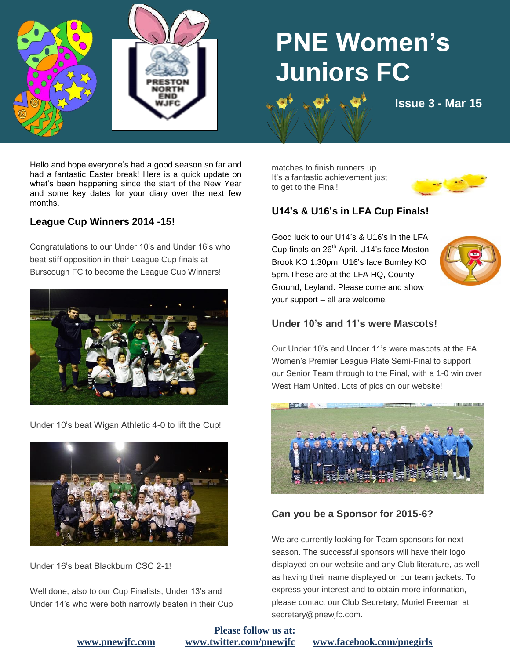



# **PNE Women's Juniors FC**

**natural food issue 3 - Mar 15** 

Hello and hope everyone's had a good season so far and had a fantastic Easter break! Here is a quick update on what's been happening since the start of the New Year and some key dates for your diary over the next few months.

### **League Cup Winners 2014 -15!**

Congratulations to our Under 10's and Under 16's who beat stiff opposition in their League Cup finals at Burscough FC to become the League Cup Winners!



Under 10's beat Wigan Athletic 4-0 to lift the Cup!



Under 16's beat Blackburn CSC 2-1!

Well done, also to our Cup Finalists, Under 13's and Under 14's who were both narrowly beaten in their Cup matches to finish runners up. It's a fantastic achievement just to get to the Final!

**fruit"**



## **U14's & U16's in LFA Cup Finals!**

Good luck to our U14's & U16's in the LFA Cup finals on 26<sup>th</sup> April. U14's face Moston Brook KO 1.30pm. U16's face Burnley KO 5pm.These are at the LFA HQ, County Ground, Leyland. Please come and show your support – all are welcome!



#### **Under 10's and 11's were Mascots!**

Our Under 10's and Under 11's were mascots at the FA Women's Premier League Plate Semi-Final to support our Senior Team through to the Final, with a 1-0 win over West Ham United. Lots of pics on our website!



## **Can you be a Sponsor for 2015-6?**

We are currently looking for Team sponsors for next season. The successful sponsors will have their logo displayed on our website and any Club literature, as well as having their name displayed on our team jackets. To express your interest and to obtain more information, please contact our Club Secretary, Muriel Freeman at secretary@pnewjfc.com.

**Please follow us at:**

**[www.pnewjfc.com](http://www.pnewjfc.com/) [www.twitter.com/pnewjfc](http://www.twitter.com/pnewjfc) [www.facebook.com/pnegirls](http://www.facebook.com/pnegirls)**